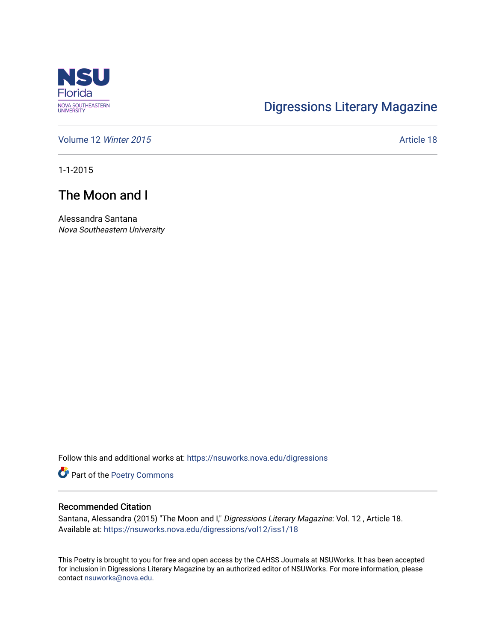

# [Digressions Literary Magazine](https://nsuworks.nova.edu/digressions)

[Volume 12](https://nsuworks.nova.edu/digressions/vol12) Winter 2015 **Article 18** 

1-1-2015

# The Moon and I

Alessandra Santana Nova Southeastern University

Follow this and additional works at: [https://nsuworks.nova.edu/digressions](https://nsuworks.nova.edu/digressions?utm_source=nsuworks.nova.edu%2Fdigressions%2Fvol12%2Fiss1%2F18&utm_medium=PDF&utm_campaign=PDFCoverPages) 

Part of the [Poetry Commons](http://network.bepress.com/hgg/discipline/1153?utm_source=nsuworks.nova.edu%2Fdigressions%2Fvol12%2Fiss1%2F18&utm_medium=PDF&utm_campaign=PDFCoverPages) 

#### Recommended Citation

Santana, Alessandra (2015) "The Moon and I," Digressions Literary Magazine: Vol. 12, Article 18. Available at: [https://nsuworks.nova.edu/digressions/vol12/iss1/18](https://nsuworks.nova.edu/digressions/vol12/iss1/18?utm_source=nsuworks.nova.edu%2Fdigressions%2Fvol12%2Fiss1%2F18&utm_medium=PDF&utm_campaign=PDFCoverPages)

This Poetry is brought to you for free and open access by the CAHSS Journals at NSUWorks. It has been accepted for inclusion in Digressions Literary Magazine by an authorized editor of NSUWorks. For more information, please contact [nsuworks@nova.edu.](mailto:nsuworks@nova.edu)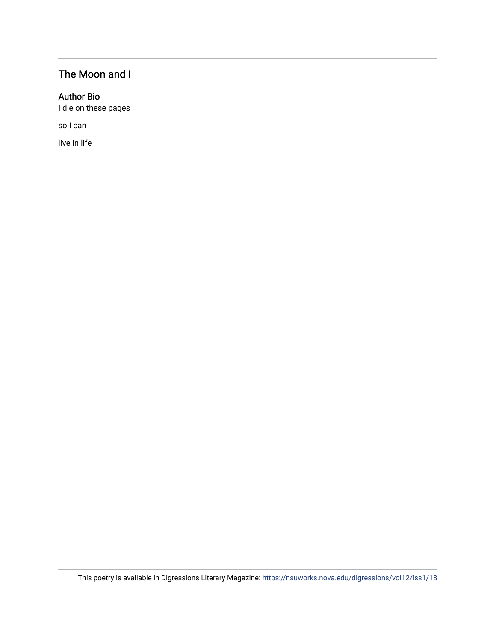## The Moon and I

#### Author Bio

I die on these pages

so I can

live in life